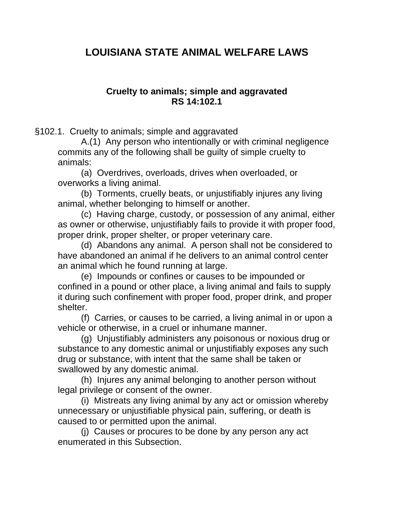# **LOUISIANA STATE ANIMAL WELFARE LAWS**

### **Cruelty to animals; simple and aggravated RS 14:102.1**

§102.1. Cruelty to animals; simple and aggravated

A.(1) Any person who intentionally or with criminal negligence commits any of the following shall be guilty of simple cruelty to animals:

(a) Overdrives, overloads, drives when overloaded, or overworks a living animal.

(b) Torments, cruelly beats, or unjustifiably injures any living animal, whether belonging to himself or another.

(c) Having charge, custody, or possession of any animal, either as owner or otherwise, unjustifiably fails to provide it with proper food, proper drink, proper shelter, or proper veterinary care.

(d) Abandons any animal. A person shall not be considered to have abandoned an animal if he delivers to an animal control center an animal which he found running at large.

(e) Impounds or confines or causes to be impounded or confined in a pound or other place, a living animal and fails to supply it during such confinement with proper food, proper drink, and proper shelter.

(f) Carries, or causes to be carried, a living animal in or upon a vehicle or otherwise, in a cruel or inhumane manner.

(g) Unjustifiably administers any poisonous or noxious drug or substance to any domestic animal or unjustifiably exposes any such drug or substance, with intent that the same shall be taken or swallowed by any domestic animal.

(h) Injures any animal belonging to another person without legal privilege or consent of the owner.

(i) Mistreats any living animal by any act or omission whereby unnecessary or unjustifiable physical pain, suffering, or death is caused to or permitted upon the animal.

(j) Causes or procures to be done by any person any act enumerated in this Subsection.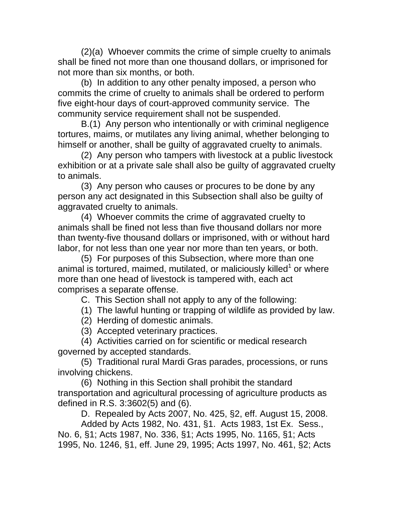(2)(a) Whoever commits the crime of simple cruelty to animals shall be fined not more than one thousand dollars, or imprisoned for not more than six months, or both.

(b) In addition to any other penalty imposed, a person who commits the crime of cruelty to animals shall be ordered to perform five eight-hour days of court-approved community service. The community service requirement shall not be suspended.

B.(1) Any person who intentionally or with criminal negligence tortures, maims, or mutilates any living animal, whether belonging to himself or another, shall be guilty of aggravated cruelty to animals.

(2) Any person who tampers with livestock at a public livestock exhibition or at a private sale shall also be guilty of aggravated cruelty to animals.

(3) Any person who causes or procures to be done by any person any act designated in this Subsection shall also be guilty of aggravated cruelty to animals.

(4) Whoever commits the crime of aggravated cruelty to animals shall be fined not less than five thousand dollars nor more than twenty-five thousand dollars or imprisoned, with or without hard labor, for not less than one year nor more than ten years, or both.

(5) For purposes of this Subsection, where more than one animal is tortured, maimed, mutilated, or maliciously killed<sup>1</sup> or where more than one head of livestock is tampered with, each act comprises a separate offense.

C. This Section shall not apply to any of the following:

(1) The lawful hunting or trapping of wildlife as provided by law.

- (2) Herding of domestic animals.
- (3) Accepted veterinary practices.

(4) Activities carried on for scientific or medical research governed by accepted standards.

(5) Traditional rural Mardi Gras parades, processions, or runs involving chickens.

(6) Nothing in this Section shall prohibit the standard transportation and agricultural processing of agriculture products as defined in R.S. 3:3602(5) and (6).

D. Repealed by Acts 2007, No. 425, §2, eff. August 15, 2008.

Added by Acts 1982, No. 431, §1. Acts 1983, 1st Ex. Sess., No. 6, §1; Acts 1987, No. 336, §1; Acts 1995, No. 1165, §1; Acts 1995, No. 1246, §1, eff. June 29, 1995; Acts 1997, No. 461, §2; Acts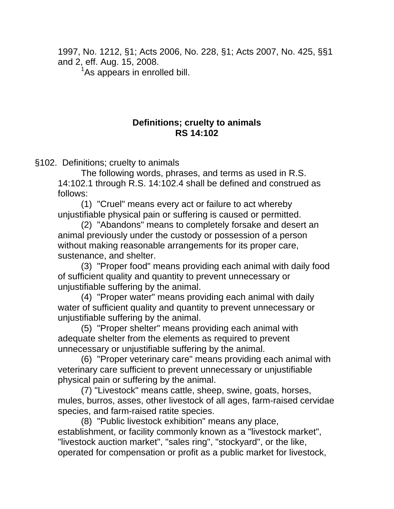1997, No. 1212, §1; Acts 2006, No. 228, §1; Acts 2007, No. 425, §§1 and 2, eff. Aug. 15, 2008.

<sup>1</sup>As appears in enrolled bill.

## **Definitions; cruelty to animals RS 14:102**

§102. Definitions; cruelty to animals

The following words, phrases, and terms as used in R.S. 14:102.1 through R.S. 14:102.4 shall be defined and construed as follows:

(1) "Cruel" means every act or failure to act whereby unjustifiable physical pain or suffering is caused or permitted.

(2) "Abandons" means to completely forsake and desert an animal previously under the custody or possession of a person without making reasonable arrangements for its proper care, sustenance, and shelter.

(3) "Proper food" means providing each animal with daily food of sufficient quality and quantity to prevent unnecessary or unjustifiable suffering by the animal.

(4) "Proper water" means providing each animal with daily water of sufficient quality and quantity to prevent unnecessary or unjustifiable suffering by the animal.

(5) "Proper shelter" means providing each animal with adequate shelter from the elements as required to prevent unnecessary or unjustifiable suffering by the animal.

(6) "Proper veterinary care" means providing each animal with veterinary care sufficient to prevent unnecessary or unjustifiable physical pain or suffering by the animal.

(7) "Livestock" means cattle, sheep, swine, goats, horses, mules, burros, asses, other livestock of all ages, farm-raised cervidae species, and farm-raised ratite species.

(8) "Public livestock exhibition" means any place, establishment, or facility commonly known as a "livestock market", "livestock auction market", "sales ring", "stockyard", or the like, operated for compensation or profit as a public market for livestock,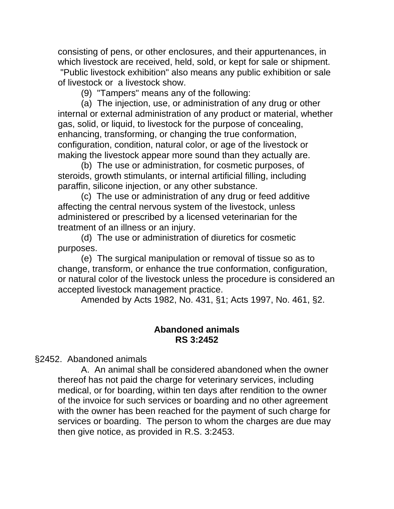consisting of pens, or other enclosures, and their appurtenances, in which livestock are received, held, sold, or kept for sale or shipment. "Public livestock exhibition" also means any public exhibition or sale of livestock or a livestock show.

(9) "Tampers" means any of the following:

(a) The injection, use, or administration of any drug or other internal or external administration of any product or material, whether gas, solid, or liquid, to livestock for the purpose of concealing, enhancing, transforming, or changing the true conformation, configuration, condition, natural color, or age of the livestock or making the livestock appear more sound than they actually are.

(b) The use or administration, for cosmetic purposes, of steroids, growth stimulants, or internal artificial filling, including paraffin, silicone injection, or any other substance.

(c) The use or administration of any drug or feed additive affecting the central nervous system of the livestock, unless administered or prescribed by a licensed veterinarian for the treatment of an illness or an injury.

(d) The use or administration of diuretics for cosmetic purposes.

(e) The surgical manipulation or removal of tissue so as to change, transform, or enhance the true conformation, configuration, or natural color of the livestock unless the procedure is considered an accepted livestock management practice.

Amended by Acts 1982, No. 431, §1; Acts 1997, No. 461, §2.

## **Abandoned animals RS 3:2452**

§2452. Abandoned animals

A. An animal shall be considered abandoned when the owner thereof has not paid the charge for veterinary services, including medical, or for boarding, within ten days after rendition to the owner of the invoice for such services or boarding and no other agreement with the owner has been reached for the payment of such charge for services or boarding. The person to whom the charges are due may then give notice, as provided in R.S. 3:2453.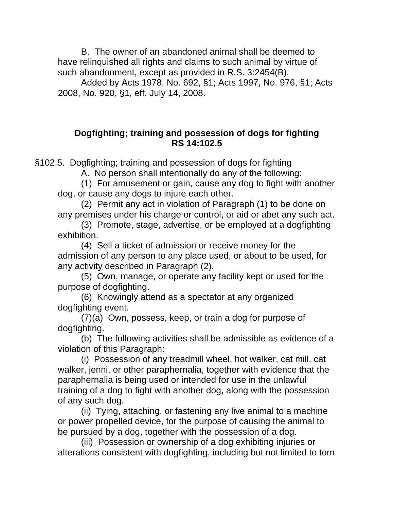B. The owner of an abandoned animal shall be deemed to have relinquished all rights and claims to such animal by virtue of such abandonment, except as provided in R.S. 3:2454(B).

Added by Acts 1978, No. 692, §1; Acts 1997, No. 976, §1; Acts 2008, No. 920, §1, eff. July 14, 2008.

### **Dogfighting; training and possession of dogs for fighting RS 14:102.5**

§102.5. Dogfighting; training and possession of dogs for fighting

A. No person shall intentionally do any of the following:

(1) For amusement or gain, cause any dog to fight with another dog, or cause any dogs to injure each other.

(2) Permit any act in violation of Paragraph (1) to be done on any premises under his charge or control, or aid or abet any such act.

(3) Promote, stage, advertise, or be employed at a dogfighting exhibition.

(4) Sell a ticket of admission or receive money for the admission of any person to any place used, or about to be used, for any activity described in Paragraph (2).

(5) Own, manage, or operate any facility kept or used for the purpose of dogfighting.

(6) Knowingly attend as a spectator at any organized dogfighting event.

 (7)(a) Own, possess, keep, or train a dog for purpose of dogfighting.

(b) The following activities shall be admissible as evidence of a violation of this Paragraph:

(i) Possession of any treadmill wheel, hot walker, cat mill, cat walker, jenni, or other paraphernalia, together with evidence that the paraphernalia is being used or intended for use in the unlawful training of a dog to fight with another dog, along with the possession of any such dog.

(ii) Tying, attaching, or fastening any live animal to a machine or power propelled device, for the purpose of causing the animal to be pursued by a dog, together with the possession of a dog.

(iii) Possession or ownership of a dog exhibiting injuries or alterations consistent with dogfighting, including but not limited to torn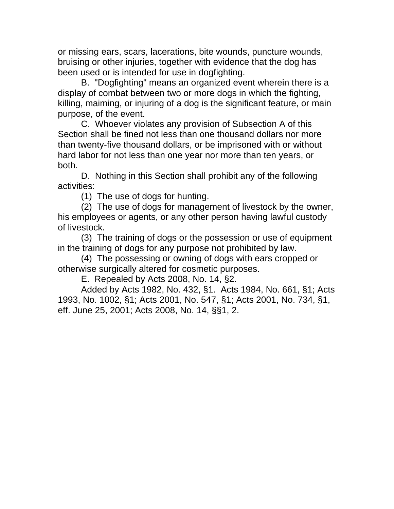or missing ears, scars, lacerations, bite wounds, puncture wounds, bruising or other injuries, together with evidence that the dog has been used or is intended for use in dogfighting.

B. "Dogfighting" means an organized event wherein there is a display of combat between two or more dogs in which the fighting, killing, maiming, or injuring of a dog is the significant feature, or main purpose, of the event.

C. Whoever violates any provision of Subsection A of this Section shall be fined not less than one thousand dollars nor more than twenty-five thousand dollars, or be imprisoned with or without hard labor for not less than one year nor more than ten years, or both.

D. Nothing in this Section shall prohibit any of the following activities:

(1) The use of dogs for hunting.

(2) The use of dogs for management of livestock by the owner, his employees or agents, or any other person having lawful custody of livestock.

(3) The training of dogs or the possession or use of equipment in the training of dogs for any purpose not prohibited by law.

(4) The possessing or owning of dogs with ears cropped or otherwise surgically altered for cosmetic purposes.

E. Repealed by Acts 2008, No. 14, §2.

Added by Acts 1982, No. 432, §1. Acts 1984, No. 661, §1; Acts 1993, No. 1002, §1; Acts 2001, No. 547, §1; Acts 2001, No. 734, §1, eff. June 25, 2001; Acts 2008, No. 14, §§1, 2.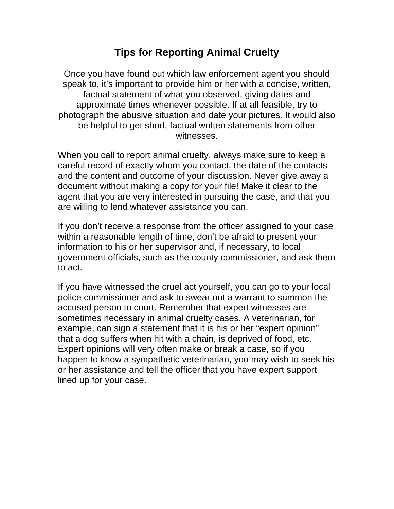# **Tips for Reporting Animal Cruelty**

Once you have found out which law enforcement agent you should speak to, it's important to provide him or her with a concise, written, factual statement of what you observed, giving dates and approximate times whenever possible. If at all feasible, try to photograph the abusive situation and date your pictures. It would also be helpful to get short, factual written statements from other witnesses.

When you call to report animal cruelty, always make sure to keep a careful record of exactly whom you contact, the date of the contacts and the content and outcome of your discussion. Never give away a document without making a copy for your file! Make it clear to the agent that you are very interested in pursuing the case, and that you are willing to lend whatever assistance you can.

If you don't receive a response from the officer assigned to your case within a reasonable length of time, don't be afraid to present your information to his or her supervisor and, if necessary, to local government officials, such as the county commissioner, and ask them to act.

If you have witnessed the cruel act yourself, you can go to your local police commissioner and ask to swear out a warrant to summon the accused person to court. Remember that expert witnesses are sometimes necessary in animal cruelty cases. A veterinarian, for example, can sign a statement that it is his or her "expert opinion" that a dog suffers when hit with a chain, is deprived of food, etc. Expert opinions will very often make or break a case, so if you happen to know a sympathetic veterinarian, you may wish to seek his or her assistance and tell the officer that you have expert support lined up for your case.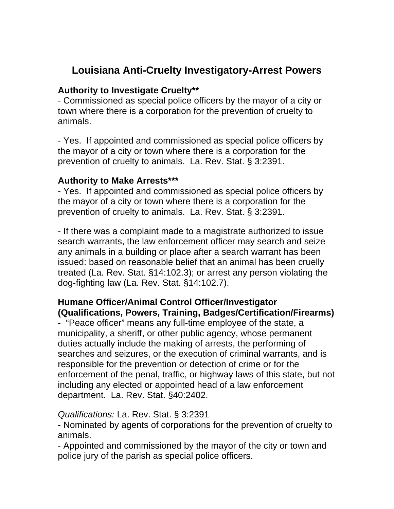# **Louisiana Anti-Cruelty Investigatory-Arrest Powers**

#### **Authority to Investigate Cruelty\*\***

- Commissioned as special police officers by the mayor of a city or town where there is a corporation for the prevention of cruelty to animals.

- Yes. If appointed and commissioned as special police officers by the mayor of a city or town where there is a corporation for the prevention of cruelty to animals. La. Rev. Stat. § 3:2391.

### **Authority to Make Arrests\*\*\***

- Yes. If appointed and commissioned as special police officers by the mayor of a city or town where there is a corporation for the prevention of cruelty to animals. La. Rev. Stat. § 3:2391.

- If there was a complaint made to a magistrate authorized to issue search warrants, the law enforcement officer may search and seize any animals in a building or place after a search warrant has been issued: based on reasonable belief that an animal has been cruelly treated (La. Rev. Stat. §14:102.3); or arrest any person violating the dog-fighting law (La. Rev. Stat. §14:102.7).

## **Humane Officer/Animal Control Officer/Investigator (Qualifications, Powers, Training, Badges/Certification/Firearms)**

**-** "Peace officer" means any full-time employee of the state, a municipality, a sheriff, or other public agency, whose permanent duties actually include the making of arrests, the performing of searches and seizures, or the execution of criminal warrants, and is responsible for the prevention or detection of crime or for the enforcement of the penal, traffic, or highway laws of this state, but not including any elected or appointed head of a law enforcement department. La. Rev. Stat. §40:2402.

#### *Qualifications:* La. Rev. Stat. § 3:2391

- Nominated by agents of corporations for the prevention of cruelty to animals.

- Appointed and commissioned by the mayor of the city or town and police jury of the parish as special police officers.